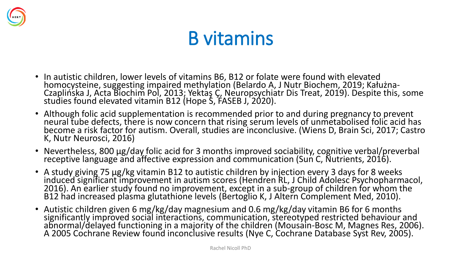

## B vitamins

- In autistic children, lower levels of vitamins B6, B12 or folate were found with elevated homocysteine, suggesting impaired methylation (Belardo A, J Nutr Biochem, 2019; Kałużna-Czaplińska J, Acta Biochim Pol, 2013; Yektaş Ç, Neuropsychiatr Dis Treat, 2019). Despite this, some studies found elevated vitamin B12 (Hope S, FASEB J, 2020).
- Although folic acid supplementation is recommended prior to and during pregnancy to prevent neural tube defects, there is now concern that rising serum levels of unmetabolised folic acid has become a risk factor for autism. Overall, studies are inconclusive. (Wiens D, Brain Sci, 2017; Castro K, Nutr Neurosci, 2016)
- Nevertheless, 800 μg/day folic acid for 3 months improved sociability, cognitive verbal/preverbal receptive language and affective expression and communication (Sun C, Nutrients, 2016).
- A study giving 75 μg/kg vitamin B12 to autistic children by injection every 3 days for 8 weeks induced significant improvement in autism scores (Hendren RL, J Child Adolesc Psychopharmacol, 2016). An earlier study found no improvement, except in a sub-group of children for whom the B12 had increased plasma glutathione levels (Bertoglio K, J Altern Complement Med, 2010).
- Autistic children given 6 mg/kg/day magnesium and 0.6 mg/kg/day vitamin B6 for 6 months significantly improved social interactions, communication, stereotyped restricted behaviour and abnormal/delayed functioning in a majority of the children (Mousain-Bosc M, Magnes Res, 2006). A 2005 Cochrane Review found inconclusive results (Nye C, Cochrane Database Syst Rev, 2005).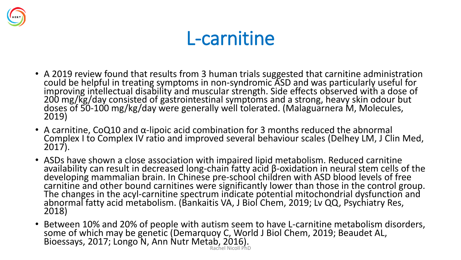

#### L-carnitine

- A 2019 review found that results from 3 human trials suggested that carnitine administration could be helpful in treating symptoms in non-syndromic ASD and was particularly useful for improving intellectual disability and muscular strength. Side effects observed with a dose of 200 mg/kg/day consisted of gastrointestinal symptoms and a strong, heavy skin odour but doses of 50-100 mg/kg/day were generally well tolerated. (Malaguarnera M, Molecules, 2019)
- A carnitine, CoQ10 and  $\alpha$ -lipoic acid combination for 3 months reduced the abnormal Complex I to Complex IV ratio and improved several behaviour scales (Delhey LM, J Clin Med, 2017).
- ASDs have shown a close association with impaired lipid metabolism. Reduced carnitine availability can result in decreased long-chain fatty acid β-oxidation in neural stem cells of the developing mammalian brain. In Chinese pre-school children with ASD blood levels of free carnitine and other bound carnitines were significantly lower than those in the control group. The changes in the acyl-carnitine spectrum indicate potential mitochondrial dysfunction and abnormal fatty acid metabolism. (Bankaitis VA, J Biol Chem, 2019; Lv QQ, Psychiatry Res, 2018)
- Between 10% and 20% of people with autism seem to have L-carnitine metabolism disorders, some of which may be genetic (Demarquoy C, World J Biol Chem, 2019; Beaudet AL, Bioessays, 2017; Longo N, Ann Nutr Metab, 2016). Rachel Nicoll PhD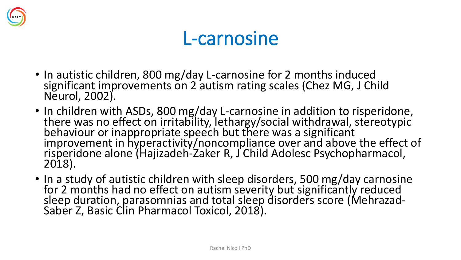

#### L-carnosine

- In autistic children, 800 mg/day L-carnosine for 2 months induced significant improvements on 2 autism rating scales (Chez MG, J Child Neurol, 2002).
- In children with ASDs, 800 mg/day L-carnosine in addition to risperidone, there was no effect on irritability, lethargy/social withdrawal, stereotypic behaviour or inappropriate speech but there was a significant improvement in hyperactivity/noncompliance over and above the effect of risperidone alone (Hajizadeh-Zaker R, J Child Adolesc Psychopharmacol, 2018).
- In a study of autistic children with sleep disorders, 500 mg/day carnosine for 2 months had no effect on autism severity but significantly reduced sleep duration, parasomnias and total sleep disorders score (Mehrazad-Saber Z, Basic Clin Pharmacol Toxicol, 2018).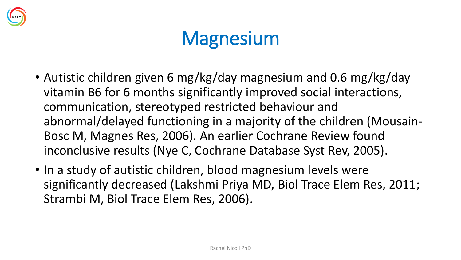

## **Magnesium**

- Autistic children given 6 mg/kg/day magnesium and 0.6 mg/kg/day vitamin B6 for 6 months significantly improved social interactions, communication, stereotyped restricted behaviour and abnormal/delayed functioning in a majority of the children (Mousain-Bosc M, Magnes Res, 2006). An earlier Cochrane Review found inconclusive results (Nye C, Cochrane Database Syst Rev, 2005).
- In a study of autistic children, blood magnesium levels were significantly decreased (Lakshmi Priya MD, Biol Trace Elem Res, 2011; Strambi M, Biol Trace Elem Res, 2006).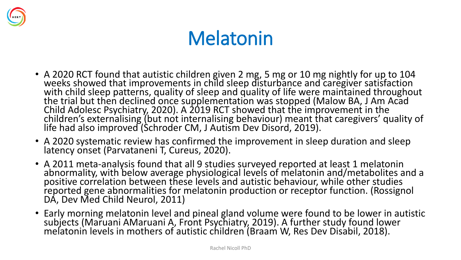

## Melatonin

- A 2020 RCT found that autistic children given 2 mg, 5 mg or 10 mg nightly for up to 104 weeks showed that improvements in child sleep disturbance and caregiver satisfaction with child sleep patterns, quality of sleep and quality of life were maintained throughout the trial but then declined once supplementation was stopped (Malow BA, J Am Acad Child Adolesc Psychiatry, 2020). A 2019 RCT showed that the improvement in the children's externalising (but not internalising behaviour) meant that caregivers' quality of life had also improved (Schroder CM, J Autism Dev Disord, 2019).
- A 2020 systematic review has confirmed the improvement in sleep duration and sleep latency onset (Parvataneni T, Cureus, 2020).
- A 2011 meta-analysis found that all 9 studies surveyed reported at least 1 melatonin abnormality, with below average physiological levels of melatonin and/metabolites and a positive correlation between these levels and autistic behaviour, while other studies reported gene abnormalities for melatonin production or receptor function. (Rossignol DA, Dev Med Child Neurol, 2011)
- Early morning melatonin level and pineal gland volume were found to be lower in autistic subjects (Maruani AMaruani A, Front Psychiatry, 2019). A further study found lower melatonin levels in mothers of autistic children (Braam W, Res Dev Disabil, 2018).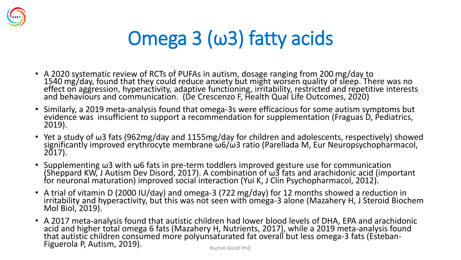

# Omega 3 (ω3) fatty acids

- A 2020 systematic review of RCTs of PUFAs in autism, dosage ranging from 200 mg/day to 1540 mg/day, found that they could reduce anxiety but might worsen quality of sleep. There was no effect on aggression, hyperactivity, adaptive functioning, irritability, restricted and repetitive interests and behaviours and communication. (De Crescenzo F, Health Qual Life Outcomes, 2020)
- Similarly, a 2019 meta-analysis found that omega-3s were efficacious for some autism symptoms but evidence was insufficient to support a recommendation for supplementation (Fraguas D, Pediatrics, 2019).
- Yet a study of ω3 fats (962mg/day and 1155mg/day for children and adolescents, respectively) showed significantly improved erythrocyte membrane ω6/ω3 ratio (Parellada M, Eur Neuropsychopharmacol, 2017).
- Supplementing ω3 with ω6 fats in pre-term toddlers improved gesture use for communication (Sheppard KW, J Autism Dev Disord, 2017). A combination of ω3 fats and arachidonic acid (important for neuronal maturation) improved social interaction (Yui K, J Clin Psychopharmacol, 2012).
- A trial of vitamin D (2000 IU/day) and omega-3 (722 mg/day) for 12 months showed a reduction in irritability and hyperactivity, but this was not seen with omega-3 alone (Mazahery H, J Steroid Biochem Mol Biol, 2019).
- A 2017 meta-analysis found that autistic children had lower blood levels of DHA, EPA and arachidonic acid and higher total omega 6 fats (Mazahery H, Nutrients, 2017), while a 2019 meta-analysis found that autistic children consumed more polyunsaturated fat overall but less omega-3 fats (Esteban-Figuerola P, Autism, 2019).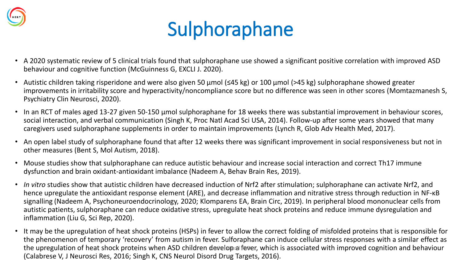

# Sulphoraphane

- A 2020 systematic review of 5 clinical trials found that sulphoraphane use showed a significant positive correlation with improved ASD behaviour and cognitive function (McGuinness G, EXCLI J. 2020).
- Autistic children taking risperidone and were also given 50 μmol (≤45 kg) or 100 μmol (>45 kg) sulphoraphane showed greater improvements in irritability score and hyperactivity/noncompliance score but no difference was seen in other scores (Momtazmanesh S, Psychiatry Clin Neurosci, 2020).
- In an RCT of males aged 13-27 given 50-150 µmol sulphoraphane for 18 weeks there was substantial improvement in behaviour scores, social interaction, and verbal communication (Singh K, Proc Natl Acad Sci USA, 2014). Follow-up after some years showed that many caregivers used sulphoraphane supplements in order to maintain improvements (Lynch R, Glob Adv Health Med, 2017).
- An open label study of sulphoraphane found that after 12 weeks there was significant improvement in social responsiveness but not in other measures (Bent S, Mol Autism, 2018).
- Mouse studies show that sulphoraphane can reduce autistic behaviour and increase social interaction and correct Th17 immune dysfunction and brain oxidant-antioxidant imbalance (Nadeem A, Behav Brain Res, 2019).
- *In vitro* studies show that autistic children have decreased induction of Nrf2 after stimulation; sulphoraphane can activate Nrf2, and hence upregulate the antioxidant response element (ARE), and decrease inflammation and nitrative stress through reduction in NF-κB signalling (Nadeem A, Psychoneuroendocrinology, 2020; Klomparens EA, Brain Circ, 2019). In peripheral blood mononuclear cells from autistic patients, sulphoraphane can reduce oxidative stress, upregulate heat shock proteins and reduce immune dysregulation and inflammation (Liu G, Sci Rep, 2020).
- It may be the upregulation of heat shock proteins (HSPs) in fever to allow the correct folding of misfolded proteins that is responsible for the phenomenon of temporary 'recovery' from autism in fever. Sulforaphane can induce cellular stress responses with a similar effect as the upregulation of heat shock proteins when ASD children developal fever, which is associated with improved cognition and behaviour (Calabrese V, J Neurosci Res, 2016; Singh K, CNS Neurol Disord Drug Targets, 2016).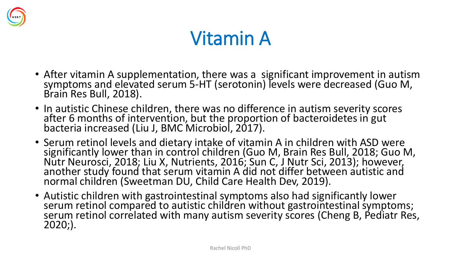

## Vitamin A

- After vitamin A supplementation, there was a significant improvement in autism symptoms and elevated serum 5-HT (serotonin) levels were decreased (Guo M, Brain Res Bull, 2018).
- In autistic Chinese children, there was no difference in autism severity scores after 6 months of intervention, but the proportion of bacteroidetes in gut bacteria increased (Liu J, BMC Microbiol, 2017).
- Serum retinol levels and dietary intake of vitamin A in children with ASD were significantly lower than in control children (Guo M, Brain Res Bull, 2018; Guo M, Nutr Neurosci, 2018; Liu X, Nutrients, 2016; Sun C, J Nutr Sci, 2013); however, another study found that serum vitamin A did not differ between autistic and normal children (Sweetman DU, Child Care Health Dev, 2019).
- Autistic children with gastrointestinal symptoms also had significantly lower serum retinol compared to autistic children without gastrointestinal symptoms; serum retinol correlated with many autism severity scores (Cheng B, Pediatr Res, 2020;).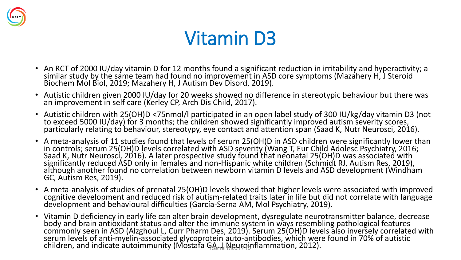

### Vitamin D3

- An RCT of 2000 IU/day vitamin D for 12 months found a significant reduction in irritability and hyperactivity; a similar study by the same team had found no improvement in ASD core symptoms (Mazahery H, J Steroid Biochem Mol Biol, 2019; Mazahery H, J Autism Dev Disord, 2019).
- Autistic children given 2000 IU/day for 20 weeks showed no difference in stereotypic behaviour but there was an improvement in self care (Kerley CP, Arch Dis Child, 2017).
- Autistic children with 25(OH)D <75nmol/l participated in an open label study of 300 IU/kg/day vitamin D3 (not to exceed 5000 IU/day) for 3 months; the children showed significantly improved autism severity scores, particularly relating to behaviour, stereotypy, eye contact and attention span (Saad K, Nutr Neurosci, 2016).
- A meta-analysis of 11 studies found that levels of serum 25(OH)D in ASD children were significantly lower than in controls; serum 25(OH)D levels correlated with ASD severity (Wang T, Eur Child Adolesc Psychiatry, 2016; Saad K, Nutr Neurosci, 2016). A later prospective study found that neonatal 25(OH)D was associated with significantly reduced ASD only in females and non-Hispanic white children (Schmidt RJ, Autism Res, 2019), although another found no correlation between newborn vitamin D levels and ASD development (Windham GC, Autism Res, 2019).
- A meta-analysis of studies of prenatal 25(OH)D levels showed that higher levels were associated with improved cognitive development and reduced risk of autism-related traits later in life but did not correlate with language development and behavioural difficulties (García-Serna AM, Mol Psychiatry, 2019).
- Vitamin D deficiency in early life can alter brain development, dysregulate neurotransmitter balance, decrease body and brain antioxidant status and alter the immune system in ways resembling pathological features commonly seen in ASD (Alzghoul L, Curr Pharm Des, 2019). Serum 25(OH)D levels also inversely correlated with serum levels of anti-myelin-associated glycoprotein auto-antibodies, which were found in 70% of autistic children, and indicate autoimmunity (Mostafa GA, I Neuroinflammation, 2012).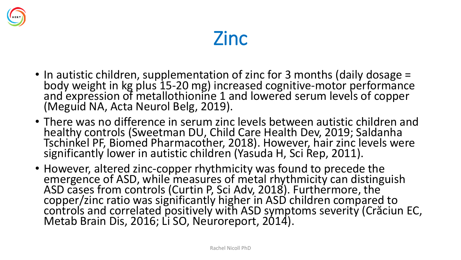

#### Zinc

- In autistic children, supplementation of zinc for 3 months (daily dosage = body weight in kg plus 15-20 mg) increased cognitive-motor performance and expression of metallothionine 1 and lowered serum levels of copper (Meguid NA, Acta Neurol Belg, 2019).
- There was no difference in serum zinc levels between autistic children and healthy controls (Sweetman DU, Child Care Health Dev, 2019; Saldanha Tschinkel PF, Biomed Pharmacother, 2018). However, hair zinc levels were significantly lower in autistic children (Yasuda H, Sci Rep, 2011).
- However, altered zinc-copper rhythmicity was found to precede the emergence of ASD, while measures of metal rhythmicity can distinguish ASD cases from controls (Curtin P, Sci Adv, 2018). Furthermore, the copper/zinc ratio was significantly higher in ASD children compared to controls and correlated positively with ASD symptoms severity (Crăciun EC, Metab Brain Dis, 2016; Li SO, Neuroreport, 2014).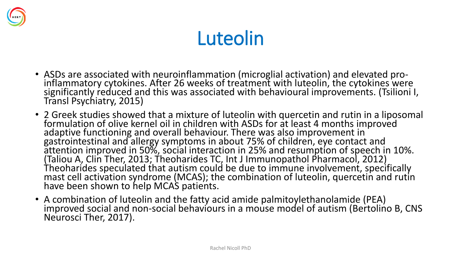

# Luteolin

- ASDs are associated with neuroinflammation (microglial activation) and elevated proinflammatory cytokines. After 26 weeks of treatment with luteolin, the cytokines were significantly reduced and this was associated with behavioural improvements. (Tsilioni I, Transl Psychiatry, 2015)
- 2 Greek studies showed that a mixture of luteolin with quercetin and rutin in a liposomal formulation of olive kernel oil in children with ASDs for at least 4 months improved adaptive functioning and overall behaviour. There was also improvement in gastrointestinal and allergy symptoms in about 75% of children, eye contact and attention improved in 50%, social interaction in 25% and resumption of speech in 10%. (Taliou A, Clin Ther, 2013; Theoharides TC, Int J Immunopathol Pharmacol, 2012) Theoharides speculated that autism could be due to immune involvement, specifically mast cell activation syndrome (MCAS); the combination of luteolin, quercetin and rutin have been shown to help MCAS patients.
- A combination of luteolin and the fatty acid amide palmitoylethanolamide (PEA) improved social and non-social behaviours in a mouse model of autism (Bertolino B, CNS Neurosci Ther, 2017).